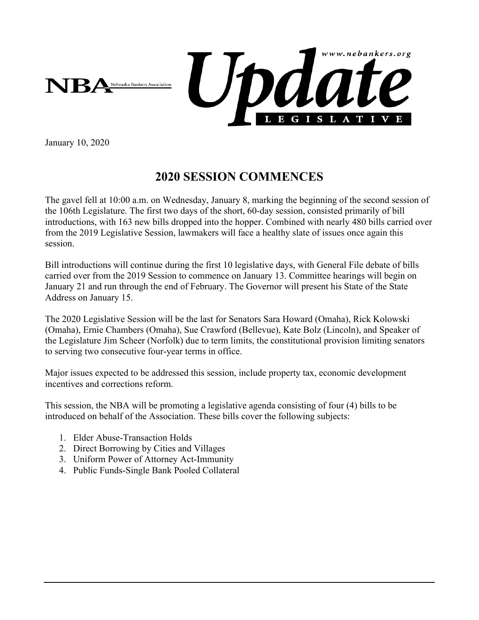

January 10, 2020

## **2020 SESSION COMMENCES**

The gavel fell at 10:00 a.m. on Wednesday, January 8, marking the beginning of the second session of the 106th Legislature. The first two days of the short, 60-day session, consisted primarily of bill introductions, with 163 new bills dropped into the hopper. Combined with nearly 480 bills carried over from the 2019 Legislative Session, lawmakers will face a healthy slate of issues once again this session.

Bill introductions will continue during the first 10 legislative days, with General File debate of bills carried over from the 2019 Session to commence on January 13. Committee hearings will begin on January 21 and run through the end of February. The Governor will present his State of the State Address on January 15.

The 2020 Legislative Session will be the last for Senators Sara Howard (Omaha), Rick Kolowski (Omaha), Ernie Chambers (Omaha), Sue Crawford (Bellevue), Kate Bolz (Lincoln), and Speaker of the Legislature Jim Scheer (Norfolk) due to term limits, the constitutional provision limiting senators to serving two consecutive four-year terms in office.

Major issues expected to be addressed this session, include property tax, economic development incentives and corrections reform.

This session, the NBA will be promoting a legislative agenda consisting of four (4) bills to be introduced on behalf of the Association. These bills cover the following subjects:

- 1. Elder Abuse-Transaction Holds
- 2. Direct Borrowing by Cities and Villages
- 3. Uniform Power of Attorney Act-Immunity
- 4. Public Funds-Single Bank Pooled Collateral